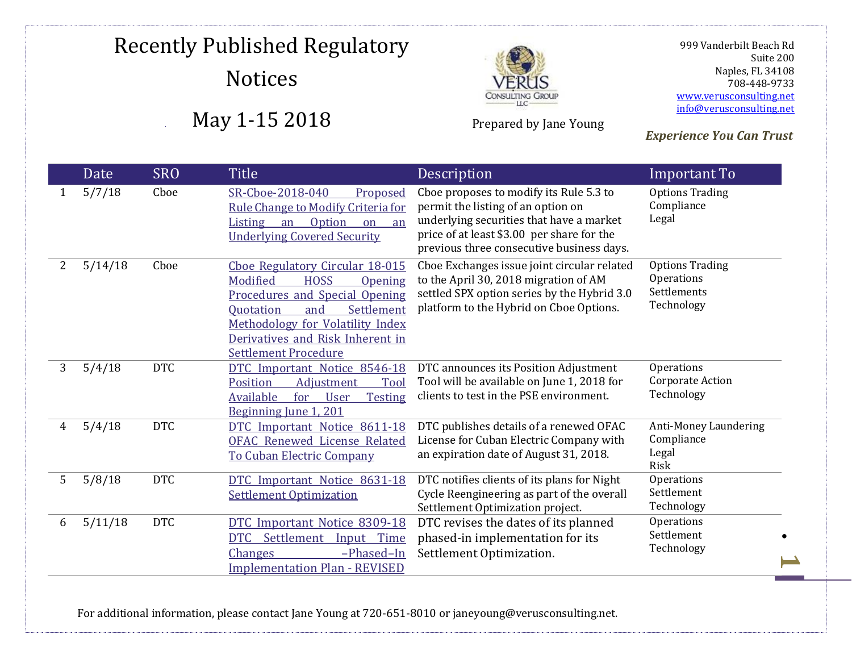

Prepared by Jane Young

 999 Vanderbilt Beach Rd Suite 200 Naples, FL 34108 708-448-9733 [www.verusconsulting.net](http://www.verusconsulting.net/) [info@verusconsulting.net](mailto:info@verusconsulting.net)

#### *Experience You Can Trust*

|              | Date    | <b>SRO</b> | <b>Title</b>                                                                                                                                                                                                                                            | Description                                                                                                                                                                                                          | <b>Important To</b>                                                      |
|--------------|---------|------------|---------------------------------------------------------------------------------------------------------------------------------------------------------------------------------------------------------------------------------------------------------|----------------------------------------------------------------------------------------------------------------------------------------------------------------------------------------------------------------------|--------------------------------------------------------------------------|
| $\mathbf{1}$ | 5/7/18  | Cboe       | SR-Cboe-2018-040<br>Proposed<br>Rule Change to Modify Criteria for<br>Option<br>Listing<br>an<br>$\alpha$<br>an<br><b>Underlying Covered Security</b>                                                                                                   | Cboe proposes to modify its Rule 5.3 to<br>permit the listing of an option on<br>underlying securities that have a market<br>price of at least \$3.00 per share for the<br>previous three consecutive business days. | <b>Options Trading</b><br>Compliance<br>Legal                            |
| 2            | 5/14/18 | Cboe       | Cboe Regulatory Circular 18-015<br>Modified<br><b>HOSS</b><br>Opening<br>Procedures and Special Opening<br><b>Ouotation</b><br>Settlement<br>and<br>Methodology for Volatility Index<br>Derivatives and Risk Inherent in<br><b>Settlement Procedure</b> | Cboe Exchanges issue joint circular related<br>to the April 30, 2018 migration of AM<br>settled SPX option series by the Hybrid 3.0<br>platform to the Hybrid on Cboe Options.                                       | <b>Options Trading</b><br><b>Operations</b><br>Settlements<br>Technology |
| 3            | 5/4/18  | <b>DTC</b> | DTC Important Notice 8546-18<br>Adjustment<br>Position<br>Tool<br>Available<br>for<br><b>Testing</b><br><b>User</b><br>Beginning June 1, 201                                                                                                            | DTC announces its Position Adjustment<br>Tool will be available on June 1, 2018 for<br>clients to test in the PSE environment.                                                                                       | Operations<br>Corporate Action<br>Technology                             |
| 4            | 5/4/18  | <b>DTC</b> | DTC Important Notice 8611-18<br><b>OFAC Renewed License Related</b><br>To Cuban Electric Company                                                                                                                                                        | DTC publishes details of a renewed OFAC<br>License for Cuban Electric Company with<br>an expiration date of August 31, 2018.                                                                                         | Anti-Money Laundering<br>Compliance<br>Legal<br>Risk                     |
| 5            | 5/8/18  | <b>DTC</b> | DTC Important Notice 8631-18<br><b>Settlement Optimization</b>                                                                                                                                                                                          | DTC notifies clients of its plans for Night<br>Cycle Reengineering as part of the overall<br>Settlement Optimization project.                                                                                        | Operations<br>Settlement<br>Technology                                   |
| 6            | 5/11/18 | <b>DTC</b> | DTC Important Notice 8309-18<br><b>DTC</b><br>Settlement<br>Input Time<br>-Phased-In<br><b>Changes</b><br><b>Implementation Plan - REVISED</b>                                                                                                          | DTC revises the dates of its planned<br>phased-in implementation for its<br>Settlement Optimization.                                                                                                                 | Operations<br>Settlement<br>Technology                                   |

For additional information, please contact Jane Young at 720-651-8010 or janeyoung@verusconsulting.net.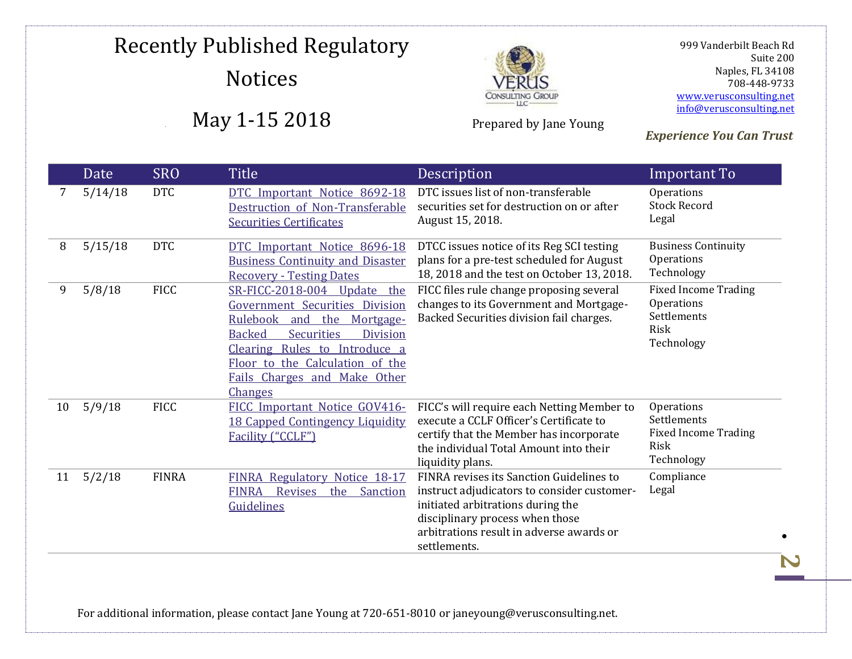

Prepared by Jane Young

 999 Vanderbilt Beach Rd Suite 200 Naples, FL 34108 708-448-9733 [www.verusconsulting.net](http://www.verusconsulting.net/) [info@verusconsulting.net](mailto:info@verusconsulting.net)

#### *Experience You Can Trust*

|    | Date    | <b>SRO</b>   | <b>Title</b>                                                                                                                                                                                                                                                              | Description                                                                                                                                                                                                                 | Important To                                                                          |
|----|---------|--------------|---------------------------------------------------------------------------------------------------------------------------------------------------------------------------------------------------------------------------------------------------------------------------|-----------------------------------------------------------------------------------------------------------------------------------------------------------------------------------------------------------------------------|---------------------------------------------------------------------------------------|
| 7  | 5/14/18 | <b>DTC</b>   | DTC Important Notice 8692-18<br>Destruction of Non-Transferable<br><b>Securities Certificates</b>                                                                                                                                                                         | DTC issues list of non-transferable<br>securities set for destruction on or after<br>August 15, 2018.                                                                                                                       | Operations<br><b>Stock Record</b><br>Legal                                            |
| 8  | 5/15/18 | <b>DTC</b>   | DTC Important Notice 8696-18<br><b>Business Continuity and Disaster</b><br><b>Recovery - Testing Dates</b>                                                                                                                                                                | DTCC issues notice of its Reg SCI testing<br>plans for a pre-test scheduled for August<br>18, 2018 and the test on October 13, 2018.                                                                                        | <b>Business Continuity</b><br>Operations<br>Technology                                |
| 9  | 5/8/18  | <b>FICC</b>  | SR-FICC-2018-004 Update<br>the<br>Government Securities Division<br>Rulebook and the<br>Mortgage-<br><b>Backed</b><br>Securities<br><b>Division</b><br>Clearing Rules to Introduce a<br>Floor to the Calculation of the<br>Fails Charges and Make Other<br><b>Changes</b> | FICC files rule change proposing several<br>changes to its Government and Mortgage-<br>Backed Securities division fail charges.                                                                                             | <b>Fixed Income Trading</b><br>Operations<br>Settlements<br><b>Risk</b><br>Technology |
| 10 | 5/9/18  | <b>FICC</b>  | FICC Important Notice GOV416-<br><b>18 Capped Contingency Liquidity</b><br>Facility ("CCLF")                                                                                                                                                                              | FICC's will require each Netting Member to<br>execute a CCLF Officer's Certificate to<br>certify that the Member has incorporate<br>the individual Total Amount into their<br>liquidity plans.                              | Operations<br>Settlements<br><b>Fixed Income Trading</b><br>Risk<br>Technology        |
| 11 | 5/2/18  | <b>FINRA</b> | FINRA Regulatory Notice 18-17<br>the Sanction<br><b>FINRA</b><br><b>Revises</b><br>Guidelines                                                                                                                                                                             | FINRA revises its Sanction Guidelines to<br>instruct adjudicators to consider customer-<br>initiated arbitrations during the<br>disciplinary process when those<br>arbitrations result in adverse awards or<br>settlements. | Compliance<br>Legal                                                                   |

For additional information, please contact Jane Young at 720-651-8010 or janeyoung@verusconsulting.net.

**2**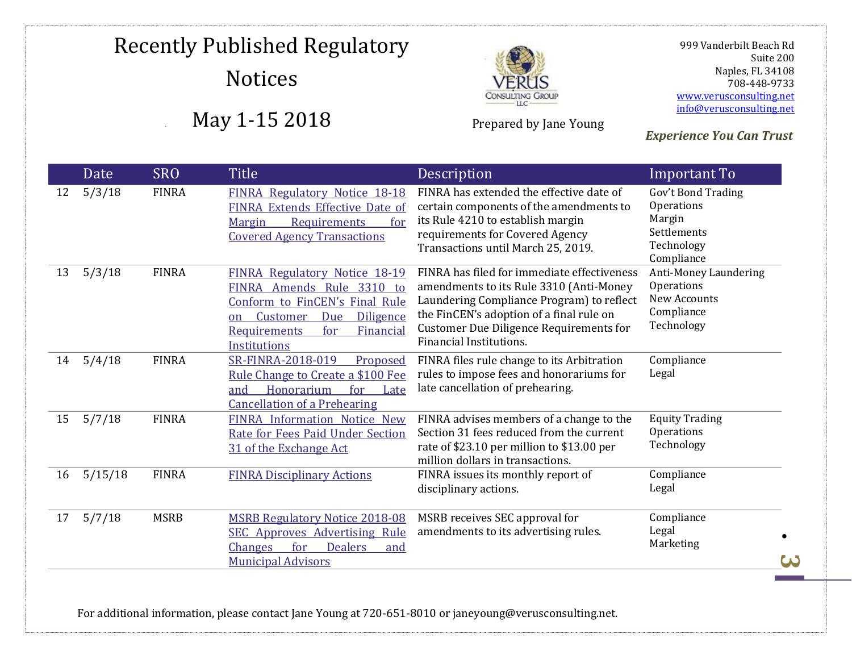

Prepared by Jane Young

 999 Vanderbilt Beach Rd Suite 200 Naples, FL 34108 708-448-9733 [www.verusconsulting.net](http://www.verusconsulting.net/) [info@verusconsulting.net](mailto:info@verusconsulting.net)

*Experience You Can Trust*

|    | Date    | <b>SRO</b>   | <b>Title</b>                                                                                                                                                                                  | Description                                                                                                                                                                                                                                                  | Important To                                                                          |
|----|---------|--------------|-----------------------------------------------------------------------------------------------------------------------------------------------------------------------------------------------|--------------------------------------------------------------------------------------------------------------------------------------------------------------------------------------------------------------------------------------------------------------|---------------------------------------------------------------------------------------|
| 12 | 5/3/18  | <b>FINRA</b> | FINRA Regulatory Notice 18-18<br>FINRA Extends Effective Date of<br>Margin<br><b>Requirements</b><br>for<br><b>Covered Agency Transactions</b>                                                | FINRA has extended the effective date of<br>certain components of the amendments to<br>its Rule 4210 to establish margin<br>requirements for Covered Agency<br>Transactions until March 25, 2019.                                                            | Gov't Bond Trading<br>Operations<br>Margin<br>Settlements<br>Technology<br>Compliance |
| 13 | 5/3/18  | <b>FINRA</b> | FINRA Regulatory Notice 18-19<br>FINRA Amends Rule 3310 to<br>Conform to FinCEN's Final Rule<br>Due<br>Diligence<br>Customer<br>on<br>Financial<br><b>Requirements</b><br>for<br>Institutions | FINRA has filed for immediate effectiveness<br>amendments to its Rule 3310 (Anti-Money<br>Laundering Compliance Program) to reflect<br>the FinCEN's adoption of a final rule on<br>Customer Due Diligence Requirements for<br><b>Financial Institutions.</b> | Anti-Money Laundering<br>Operations<br>New Accounts<br>Compliance<br>Technology       |
| 14 | 5/4/18  | <b>FINRA</b> | SR-FINRA-2018-019<br>Proposed<br>Rule Change to Create a \$100 Fee<br>Honorarium<br>and<br>for<br>Late<br><b>Cancellation of a Prehearing</b>                                                 | FINRA files rule change to its Arbitration<br>rules to impose fees and honorariums for<br>late cancellation of prehearing.                                                                                                                                   | Compliance<br>Legal                                                                   |
| 15 | 5/7/18  | <b>FINRA</b> | FINRA Information Notice New<br>Rate for Fees Paid Under Section<br>31 of the Exchange Act                                                                                                    | FINRA advises members of a change to the<br>Section 31 fees reduced from the current<br>rate of \$23.10 per million to \$13.00 per<br>million dollars in transactions.                                                                                       | <b>Equity Trading</b><br>Operations<br>Technology                                     |
| 16 | 5/15/18 | <b>FINRA</b> | <b>FINRA Disciplinary Actions</b>                                                                                                                                                             | FINRA issues its monthly report of<br>disciplinary actions.                                                                                                                                                                                                  | Compliance<br>Legal                                                                   |
| 17 | 5/7/18  | <b>MSRB</b>  | <b>MSRB Regulatory Notice 2018-08</b><br><b>SEC Approves Advertising Rule</b><br>for<br><b>Dealers</b><br><b>Changes</b><br>and<br><b>Municipal Advisors</b>                                  | MSRB receives SEC approval for<br>amendments to its advertising rules.                                                                                                                                                                                       | Compliance<br>Legal<br>Marketing                                                      |

For additional information, please contact Jane Young at 720-651-8010 or janeyoung@verusconsulting.net.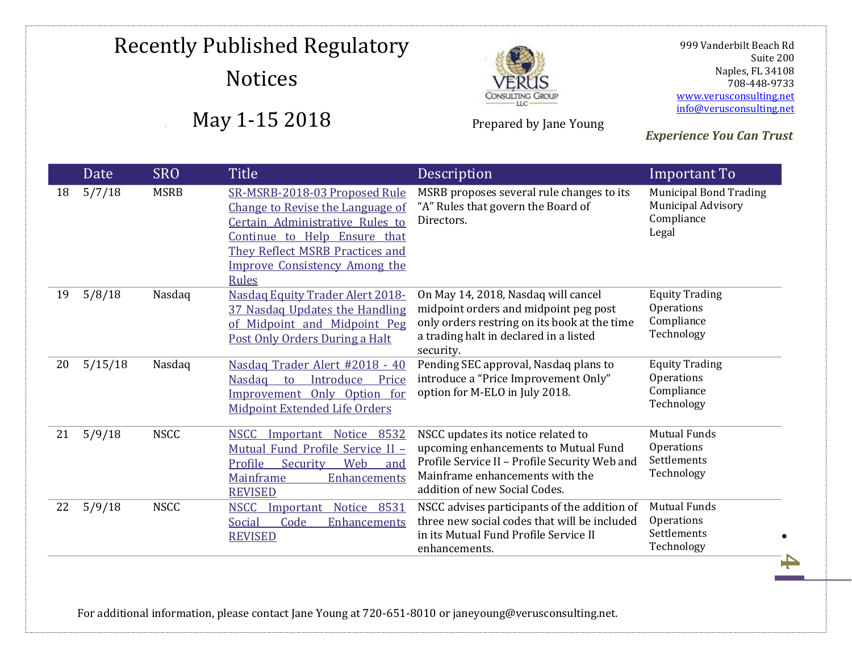

Prepared by Jane Young

 999 Vanderbilt Beach Rd Suite 200 Naples, FL 34108 708-448-9733 [www.verusconsulting.net](http://www.verusconsulting.net/) [info@verusconsulting.net](mailto:info@verusconsulting.net)

*Experience You Can Trust*

|    | Date    | <b>SRO</b>  | <b>Title</b>                                                                                                                                                                                                                    | Description                                                                                                                                                                                     | Important To                                                               |
|----|---------|-------------|---------------------------------------------------------------------------------------------------------------------------------------------------------------------------------------------------------------------------------|-------------------------------------------------------------------------------------------------------------------------------------------------------------------------------------------------|----------------------------------------------------------------------------|
| 18 | 5/7/18  | <b>MSRB</b> | SR-MSRB-2018-03 Proposed Rule<br>Change to Revise the Language of<br>Certain Administrative Rules to<br>Continue to Help Ensure that<br>They Reflect MSRB Practices and<br><b>Improve Consistency Among the</b><br><b>Rules</b> | MSRB proposes several rule changes to its<br>"A" Rules that govern the Board of<br>Directors.                                                                                                   | <b>Municipal Bond Trading</b><br>Municipal Advisory<br>Compliance<br>Legal |
| 19 | 5/8/18  | Nasdaq      | Nasdaq Equity Trader Alert 2018-<br>37 Nasdaq Updates the Handling<br>of Midpoint and Midpoint Peg<br>Post Only Orders During a Halt                                                                                            | On May 14, 2018, Nasdaq will cancel<br>midpoint orders and midpoint peg post<br>only orders restring on its book at the time<br>a trading halt in declared in a listed<br>security.             | <b>Equity Trading</b><br>Operations<br>Compliance<br>Technology            |
| 20 | 5/15/18 | Nasdaq      | Nasdag Trader Alert #2018 - 40<br>Introduce<br><b>Nasdag</b><br>Price<br>to<br>Improvement Only Option for<br>Midpoint Extended Life Orders                                                                                     | Pending SEC approval, Nasdaq plans to<br>introduce a "Price Improvement Only"<br>option for M-ELO in July 2018.                                                                                 | <b>Equity Trading</b><br>Operations<br>Compliance<br>Technology            |
| 21 | 5/9/18  | <b>NSCC</b> | <b>NSCC</b><br>Important Notice 8532<br>Mutual Fund Profile Service II -<br>Profile<br>Security<br>Web<br>and<br>Mainframe<br>Enhancements<br><b>REVISED</b>                                                                    | NSCC updates its notice related to<br>upcoming enhancements to Mutual Fund<br>Profile Service II - Profile Security Web and<br>Mainframe enhancements with the<br>addition of new Social Codes. | <b>Mutual Funds</b><br>Operations<br>Settlements<br>Technology             |
| 22 | 5/9/18  | <b>NSCC</b> | 8531<br><b>NSCC</b><br>Important<br><b>Notice</b><br>Code<br>Social<br>Enhancements<br><b>REVISED</b>                                                                                                                           | NSCC advises participants of the addition of<br>three new social codes that will be included<br>in its Mutual Fund Profile Service II<br>enhancements.                                          | <b>Mutual Funds</b><br>Operations<br>Settlements<br>Technology             |

For additional information, please contact Jane Young at 720-651-8010 or janeyoung@verusconsulting.net.

**4**